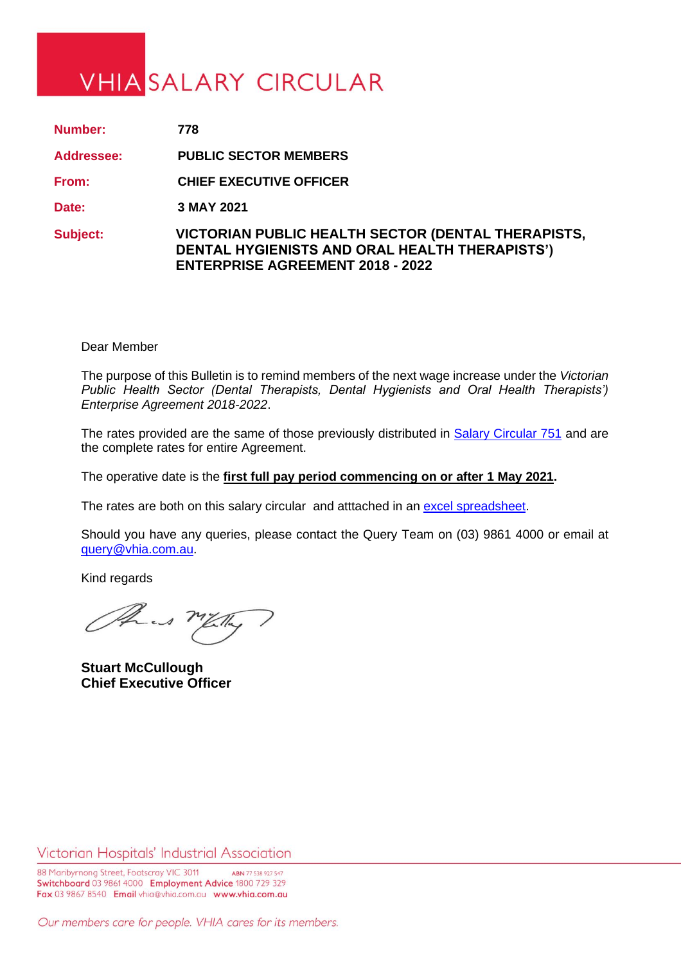## **VHIA SALARY CIRCULAR**

| Number:           | 778                                                                                                                                             |
|-------------------|-------------------------------------------------------------------------------------------------------------------------------------------------|
| <b>Addressee:</b> | <b>PUBLIC SECTOR MEMBERS</b>                                                                                                                    |
| From:             | <b>CHIEF EXECUTIVE OFFICER</b>                                                                                                                  |
| Date:             | 3 MAY 2021                                                                                                                                      |
| <b>Subject:</b>   | VICTORIAN PUBLIC HEALTH SECTOR (DENTAL THERAPISTS,<br>DENTAL HYGIENISTS AND ORAL HEALTH THERAPISTS')<br><b>ENTERPRISE AGREEMENT 2018 - 2022</b> |

Dear Member

The purpose of this Bulletin is to remind members of the next wage increase under the *Victorian Public Health Sector (Dental Therapists, Dental Hygienists and Oral Health Therapists') Enterprise Agreement 2018-2022*.

The rates provided are the same of those previously distributed in [Salary Circular 751](https://www.vhia.com.au/wp-content/uploads/Circ-751-1.pdf) and are the complete rates for entire Agreement.

The operative date is the **first full pay period commencing on or after 1 May 2021.**

The rates are both on this salary circular and atttached in an [excel spreadsheet.](https://www.vhia.com.au/wp-content/uploads/Circ-778-excel-salary-circular.xlsx)

Should you have any queries, please contact the Query Team on (03) 9861 4000 or email at [query@vhia.com.au.](mailto:query@vhia.com.au)

Kind regards

the mility

**Stuart McCullough Chief Executive Officer**

Victorian Hospitals' Industrial Association

88 Maribyrnong Street, Footscray VIC 3011 ABN 77 538 927 547 Switchboard 03 9861 4000 Employment Advice 1800 729 329 Fax 03 9867 8540 Email vhia@vhia.com.au www.vhia.com.au